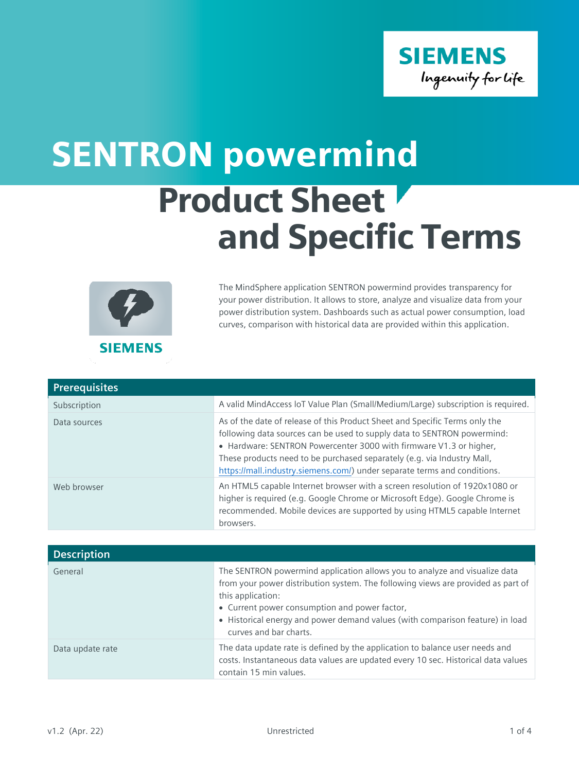

## Product Sheet and Specific Terms SENTRON powermind



The MindSphere application SENTRON powermind provides transparency for your power distribution. It allows to store, analyze and visualize data from your power distribution system. Dashboards such as actual power consumption, load curves, comparison with historical data are provided within this application.

| <b>Prerequisites</b> |                                                                                                                                                                                                                                                                                                                                                                                     |
|----------------------|-------------------------------------------------------------------------------------------------------------------------------------------------------------------------------------------------------------------------------------------------------------------------------------------------------------------------------------------------------------------------------------|
| Subscription         | A valid MindAccess loT Value Plan (Small/Medium/Large) subscription is required.                                                                                                                                                                                                                                                                                                    |
| Data sources         | As of the date of release of this Product Sheet and Specific Terms only the<br>following data sources can be used to supply data to SENTRON powermind:<br>• Hardware: SENTRON Powercenter 3000 with firmware V1.3 or higher,<br>These products need to be purchased separately (e.g. via Industry Mall,<br>https://mall.industry.siemens.com/) under separate terms and conditions. |
| Web browser          | An HTML5 capable Internet browser with a screen resolution of 1920x1080 or<br>higher is required (e.g. Google Chrome or Microsoft Edge). Google Chrome is<br>recommended. Mobile devices are supported by using HTML5 capable Internet<br>browsers.                                                                                                                                 |

| <b>Description</b> |                                                                                                                                                                                                                                                                                                                                                 |
|--------------------|-------------------------------------------------------------------------------------------------------------------------------------------------------------------------------------------------------------------------------------------------------------------------------------------------------------------------------------------------|
| General            | The SENTRON powermind application allows you to analyze and visualize data<br>from your power distribution system. The following views are provided as part of<br>this application:<br>• Current power consumption and power factor,<br>• Historical energy and power demand values (with comparison feature) in load<br>curves and bar charts. |
| Data update rate   | The data update rate is defined by the application to balance user needs and<br>costs. Instantaneous data values are updated every 10 sec. Historical data values<br>contain 15 min values.                                                                                                                                                     |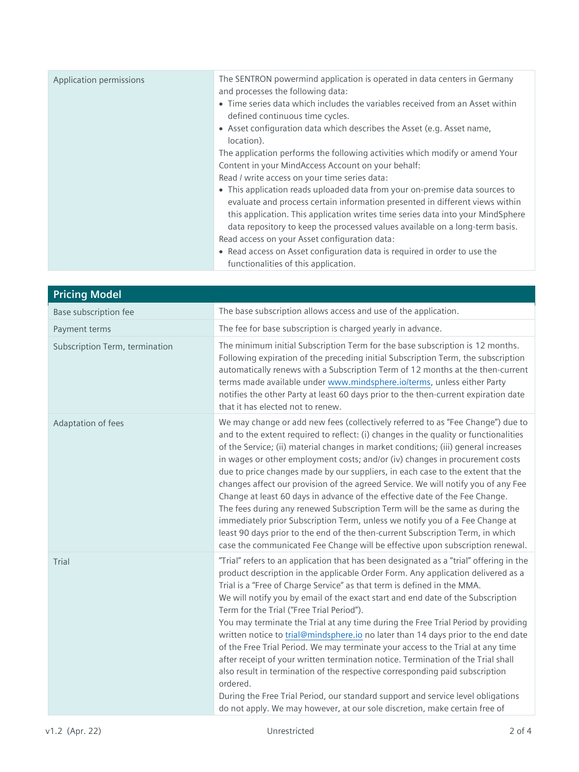| Application permissions | The SENTRON powermind application is operated in data centers in Germany<br>and processes the following data:<br>• Time series data which includes the variables received from an Asset within<br>defined continuous time cycles.<br>• Asset configuration data which describes the Asset (e.g. Asset name,<br>location).                                                                                                             |
|-------------------------|---------------------------------------------------------------------------------------------------------------------------------------------------------------------------------------------------------------------------------------------------------------------------------------------------------------------------------------------------------------------------------------------------------------------------------------|
|                         | The application performs the following activities which modify or amend Your<br>Content in your MindAccess Account on your behalf:<br>Read / write access on your time series data:<br>• This application reads uploaded data from your on-premise data sources to<br>evaluate and process certain information presented in different views within<br>this application. This application writes time series data into your MindSphere |
|                         | data repository to keep the processed values available on a long-term basis.<br>Read access on your Asset configuration data:<br>• Read access on Asset configuration data is required in order to use the<br>functionalities of this application.                                                                                                                                                                                    |

| <b>Pricing Model</b>           |                                                                                                                                                                                                                                                                                                                                                                                                                                                                                                                                                                                                                                                                                                                                                                                                                                                                                                                                                                                                      |
|--------------------------------|------------------------------------------------------------------------------------------------------------------------------------------------------------------------------------------------------------------------------------------------------------------------------------------------------------------------------------------------------------------------------------------------------------------------------------------------------------------------------------------------------------------------------------------------------------------------------------------------------------------------------------------------------------------------------------------------------------------------------------------------------------------------------------------------------------------------------------------------------------------------------------------------------------------------------------------------------------------------------------------------------|
| Base subscription fee          | The base subscription allows access and use of the application.                                                                                                                                                                                                                                                                                                                                                                                                                                                                                                                                                                                                                                                                                                                                                                                                                                                                                                                                      |
| Payment terms                  | The fee for base subscription is charged yearly in advance.                                                                                                                                                                                                                                                                                                                                                                                                                                                                                                                                                                                                                                                                                                                                                                                                                                                                                                                                          |
| Subscription Term, termination | The minimum initial Subscription Term for the base subscription is 12 months.<br>Following expiration of the preceding initial Subscription Term, the subscription<br>automatically renews with a Subscription Term of 12 months at the then-current<br>terms made available under www.mindsphere.io/terms, unless either Party<br>notifies the other Party at least 60 days prior to the then-current expiration date<br>that it has elected not to renew.                                                                                                                                                                                                                                                                                                                                                                                                                                                                                                                                          |
| Adaptation of fees             | We may change or add new fees (collectively referred to as "Fee Change") due to<br>and to the extent required to reflect: (i) changes in the quality or functionalities<br>of the Service; (ii) material changes in market conditions; (iii) general increases<br>in wages or other employment costs; and/or (iv) changes in procurement costs<br>due to price changes made by our suppliers, in each case to the extent that the<br>changes affect our provision of the agreed Service. We will notify you of any Fee<br>Change at least 60 days in advance of the effective date of the Fee Change.<br>The fees during any renewed Subscription Term will be the same as during the<br>immediately prior Subscription Term, unless we notify you of a Fee Change at<br>least 90 days prior to the end of the then-current Subscription Term, in which<br>case the communicated Fee Change will be effective upon subscription renewal.                                                             |
| Trial                          | "Trial" refers to an application that has been designated as a "trial" offering in the<br>product description in the applicable Order Form. Any application delivered as a<br>Trial is a "Free of Charge Service" as that term is defined in the MMA.<br>We will notify you by email of the exact start and end date of the Subscription<br>Term for the Trial ("Free Trial Period").<br>You may terminate the Trial at any time during the Free Trial Period by providing<br>written notice to trial@mindsphere.io no later than 14 days prior to the end date<br>of the Free Trial Period. We may terminate your access to the Trial at any time<br>after receipt of your written termination notice. Termination of the Trial shall<br>also result in termination of the respective corresponding paid subscription<br>ordered.<br>During the Free Trial Period, our standard support and service level obligations<br>do not apply. We may however, at our sole discretion, make certain free of |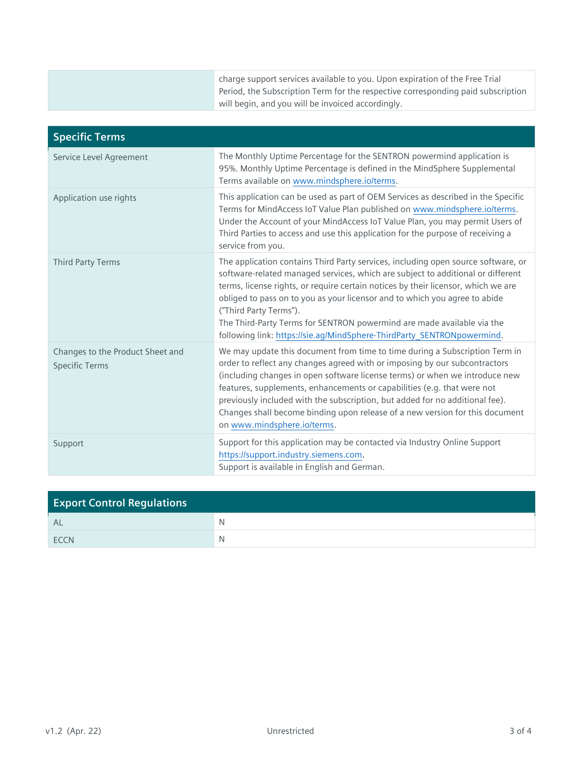| charge support services available to you. Upon expiration of the Free Trial      |
|----------------------------------------------------------------------------------|
| Period, the Subscription Term for the respective corresponding paid subscription |
| will begin, and you will be invoiced accordingly.                                |

| <b>Specific Terms</b>                                     |                                                                                                                                                                                                                                                                                                                                                                                                                                                                                                                       |
|-----------------------------------------------------------|-----------------------------------------------------------------------------------------------------------------------------------------------------------------------------------------------------------------------------------------------------------------------------------------------------------------------------------------------------------------------------------------------------------------------------------------------------------------------------------------------------------------------|
| Service Level Agreement                                   | The Monthly Uptime Percentage for the SENTRON powermind application is<br>95%. Monthly Uptime Percentage is defined in the MindSphere Supplemental<br>Terms available on www.mindsphere.io/terms.                                                                                                                                                                                                                                                                                                                     |
| Application use rights                                    | This application can be used as part of OEM Services as described in the Specific<br>Terms for MindAccess IoT Value Plan published on www.mindsphere.io/terms.<br>Under the Account of your MindAccess IoT Value Plan, you may permit Users of<br>Third Parties to access and use this application for the purpose of receiving a<br>service from you.                                                                                                                                                                |
| <b>Third Party Terms</b>                                  | The application contains Third Party services, including open source software, or<br>software-related managed services, which are subject to additional or different<br>terms, license rights, or require certain notices by their licensor, which we are<br>obliged to pass on to you as your licensor and to which you agree to abide<br>("Third Party Terms").<br>The Third-Party Terms for SENTRON powermind are made available via the<br>following link: https://sie.ag/MindSphere-ThirdParty_SENTRONpowermind. |
| Changes to the Product Sheet and<br><b>Specific Terms</b> | We may update this document from time to time during a Subscription Term in<br>order to reflect any changes agreed with or imposing by our subcontractors<br>(including changes in open software license terms) or when we introduce new<br>features, supplements, enhancements or capabilities (e.g. that were not<br>previously included with the subscription, but added for no additional fee).<br>Changes shall become binding upon release of a new version for this document<br>on www.mindsphere.io/terms.    |
| Support                                                   | Support for this application may be contacted via Industry Online Support<br>https://support.industry.siemens.com.<br>Support is available in English and German.                                                                                                                                                                                                                                                                                                                                                     |

| <b>Export Control Regulations</b> |   |
|-----------------------------------|---|
| AL                                | N |
| <b>FCCN</b>                       | N |